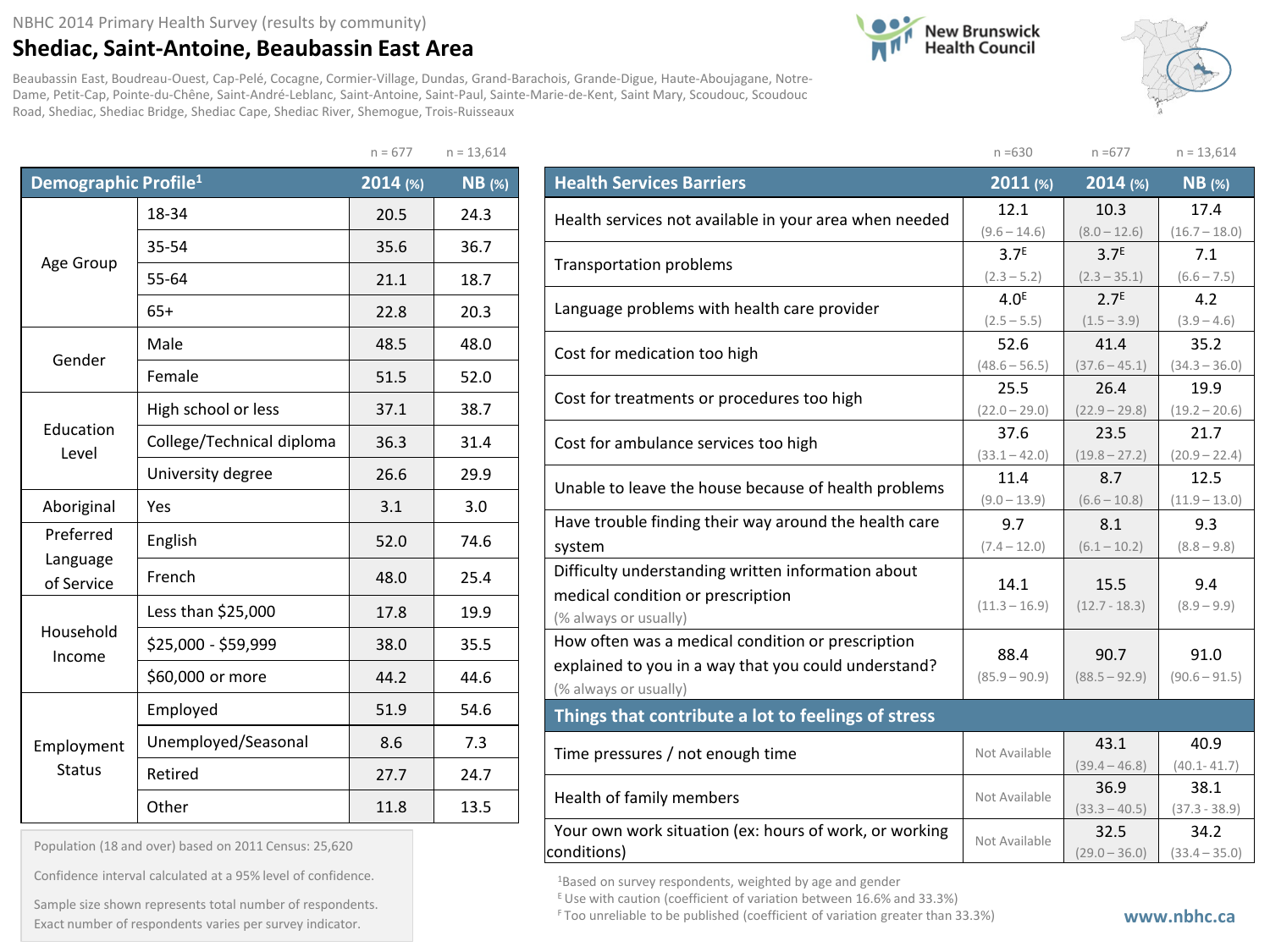## NBHC 2014 Primary Health Survey (results by community)

## **Shediac, Saint-Antoine, Beaubassin East Area**

**New Brunswick**<br>Health Council



Beaubassin East, Boudreau-Ouest, Cap-Pelé, Cocagne, Cormier-Village, Dundas, Grand-Barachois, Grande-Digue, Haute-Aboujagane, Notre-Dame, Petit-Cap, Pointe-du-Chêne, Saint-André-Leblanc, Saint-Antoine, Saint-Paul, Sainte-Marie-de-Kent, Saint Mary, Scoudouc, Scoudouc Road, Shediac, Shediac Bridge, Shediac Cape, Shediac River, Shemogue, Trois-Ruisseaux

 $n = 677$   $n = 13,614$ 

|                                  |                           | $11 - 077$ | $11 - 13,014$ |
|----------------------------------|---------------------------|------------|---------------|
| Demographic Profile <sup>1</sup> |                           | 2014(%)    | <b>NB</b> (%) |
|                                  | 18-34                     | 20.5       | 24.3          |
|                                  | 35-54                     | 35.6       | 36.7          |
| Age Group                        | 55-64                     | 21.1       | 18.7          |
|                                  | $65+$                     | 22.8       | 20.3          |
| Gender                           | Male                      | 48.5       | 48.0          |
|                                  | Female                    | 51.5       | 52.0          |
|                                  | High school or less       | 37.1       | 38.7          |
| Education<br>Level               | College/Technical diploma | 36.3       | 31.4          |
|                                  | University degree         | 26.6       | 29.9          |
| Aboriginal                       | Yes                       | 3.1        | 3.0           |
| Preferred                        | English                   | 52.0       | 74.6          |
| Language<br>of Service           | French                    | 48.0       | 25.4          |
|                                  | Less than \$25,000        | 17.8       | 19.9          |
| Household<br>Income              | \$25,000 - \$59,999       | 38.0       | 35.5          |
|                                  | \$60,000 or more          | 44.2       | 44.6          |
|                                  | Employed                  | 51.9       | 54.6          |
| Employment                       | Unemployed/Seasonal       | 8.6        | 7.3           |
| <b>Status</b>                    | Retired                   | 27.7       | 24.7          |
|                                  | Other                     | 11.8       | 13.5          |

Population (18 and over) based on 2011 Census: 25,620

Confidence interval calculated at a 95% level of confidence.

Exact number of respondents varies per survey indicator.<br>Exact number of respondents varies per survey indicator. Sample size shown represents total number of respondents.

|                                                        | $n = 630$                         | $n = 677$                         | $n = 13,614$         |
|--------------------------------------------------------|-----------------------------------|-----------------------------------|----------------------|
| <b>Health Services Barriers</b>                        | 2011 (%)                          | 2014 (%)                          | $NB$ (%)             |
| Health services not available in your area when needed | 12.1                              | 10.3                              | 17.4                 |
|                                                        | $(9.6 - 14.6)$                    | $(8.0 - 12.6)$                    | $(16.7 - 18.0)$      |
| <b>Transportation problems</b>                         | 3.7 <sup>E</sup>                  | 3.7 <sup>E</sup>                  | 7.1                  |
|                                                        | $(2.3 - 5.2)$                     | $(2.3 - 35.1)$                    | $(6.6 - 7.5)$        |
| Language problems with health care provider            | 4.0 <sup>E</sup><br>$(2.5 - 5.5)$ | 2.7 <sup>E</sup><br>$(1.5 - 3.9)$ | 4.2<br>$(3.9 - 4.6)$ |
|                                                        | 52.6                              | 41.4                              | 35.2                 |
| Cost for medication too high                           | $(48.6 - 56.5)$                   | $(37.6 - 45.1)$                   | $(34.3 - 36.0)$      |
|                                                        | 25.5                              | 26.4                              | 19.9                 |
| Cost for treatments or procedures too high             | $(22.0 - 29.0)$                   | $(22.9 - 29.8)$                   | $(19.2 - 20.6)$      |
| Cost for ambulance services too high                   | 37.6                              | 23.5                              | 21.7                 |
|                                                        | $(33.1 - 42.0)$                   | $(19.8 - 27.2)$                   | $(20.9 - 22.4)$      |
| Unable to leave the house because of health problems   | 11.4                              | 8.7                               | 12.5                 |
|                                                        | $(9.0 - 13.9)$                    | $(6.6 - 10.8)$                    | $(11.9 - 13.0)$      |
| Have trouble finding their way around the health care  | 9.7                               | 8.1                               | 9.3                  |
| system                                                 | $(7.4 - 12.0)$                    | $(6.1 - 10.2)$                    | $(8.8 - 9.8)$        |
| Difficulty understanding written information about     | 14.1                              | 15.5                              | 9.4                  |
| medical condition or prescription                      | $(11.3 - 16.9)$                   | $(12.7 - 18.3)$                   | $(8.9 - 9.9)$        |
| (% always or usually)                                  |                                   |                                   |                      |
| How often was a medical condition or prescription      | 88.4                              | 90.7                              | 91.0                 |
| explained to you in a way that you could understand?   | $(85.9 - 90.9)$                   | $(88.5 - 92.9)$                   | $(90.6 - 91.5)$      |
| (% always or usually)                                  |                                   |                                   |                      |
| Things that contribute a lot to feelings of stress     |                                   |                                   |                      |
| Time pressures / not enough time                       | Not Available                     | 43.1                              | 40.9                 |
|                                                        |                                   | $(39.4 - 46.8)$                   | $(40.1 - 41.7)$      |
| Health of family members                               | Not Available                     | 36.9                              | 38.1                 |
|                                                        |                                   | $(33.3 - 40.5)$                   | $(37.3 - 38.9)$      |
| Your own work situation (ex: hours of work, or working | Not Available                     | 32.5                              | 34.2                 |
| conditions)                                            |                                   | $(29.0 - 36.0)$                   | $(33.4 - 35.0)$      |

<sup>1</sup>Based on survey respondents, weighted by age and gender

 $E$  Use with caution (coefficient of variation between 16.6% and 33.3%)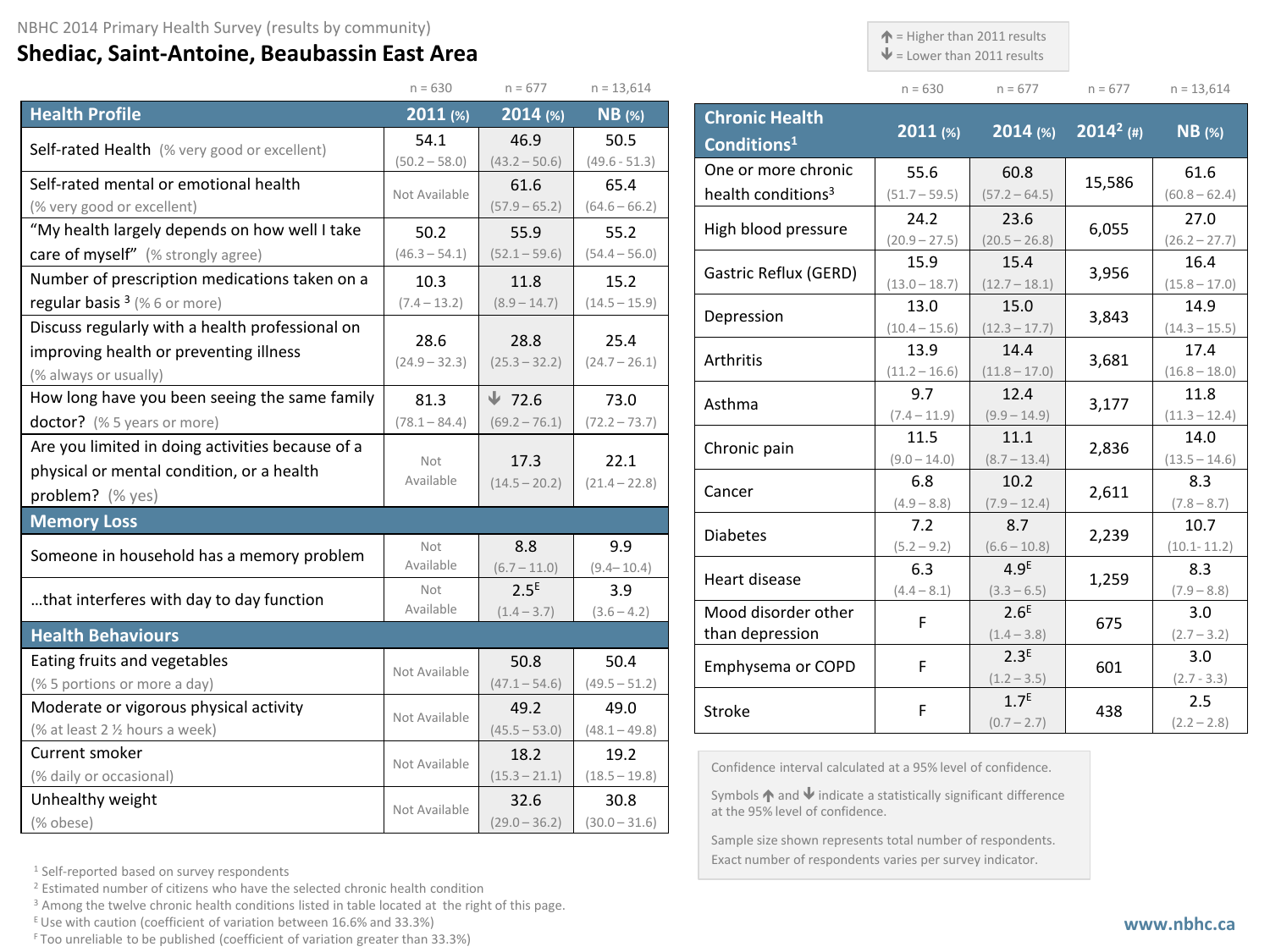## **Shediac, Saint-Antoine, Beaubassin East Area**

 $\triangle$  = Higher than 2011 results

 $\blacklozenge$  = Lower than 2011 results

| $n = 630$ | $n = 677$ | $n = 677$ | $n = 13.614$ |
|-----------|-----------|-----------|--------------|

|                                                  | $n = 630$               | $n = 677$               | $n = 13,614$            |
|--------------------------------------------------|-------------------------|-------------------------|-------------------------|
| <b>Health Profile</b>                            | 2011(%)                 | 2014 (%)                | $NB$ (%)                |
| Self-rated Health (% very good or excellent)     | 54.1                    | 46.9                    | 50.5                    |
|                                                  | $(50.2 - 58.0)$         | $(43.2 - 50.6)$         | $(49.6 - 51.3)$         |
| Self-rated mental or emotional health            | Not Available           | 61.6                    | 65.4                    |
| (% very good or excellent)                       |                         | $(57.9 - 65.2)$         | $(64.6 - 66.2)$         |
| "My health largely depends on how well I take    | 50.2                    | 55.9                    | 55.2                    |
| care of myself" (% strongly agree)               | $(46.3 - 54.1)$         | $(52.1 - 59.6)$         | $(54.4 - 56.0)$         |
| Number of prescription medications taken on a    | 10.3                    | 11.8                    | 15.2                    |
| regular basis <sup>3</sup> (%6 or more)          | $(7.4 - 13.2)$          | $(8.9 - 14.7)$          | $(14.5 - 15.9)$         |
| Discuss regularly with a health professional on  |                         |                         |                         |
| improving health or preventing illness           | 28.6<br>$(24.9 - 32.3)$ | 28.8<br>$(25.3 - 32.2)$ | 25.4<br>$(24.7 - 26.1)$ |
| (% always or usually)                            |                         |                         |                         |
| How long have you been seeing the same family    | 81.3                    | $\sqrt{72.6}$           | 73.0                    |
| doctor? (% 5 years or more)                      | $(78.1 - 84.4)$         | $(69.2 - 76.1)$         | $(72.2 - 73.7)$         |
| Are you limited in doing activities because of a |                         |                         |                         |
| physical or mental condition, or a health        | Not<br>Available        | 17.3                    | 22.1                    |
| problem? (% yes)                                 |                         | $(14.5 - 20.2)$         | $(21.4 - 22.8)$         |
| <b>Memory Loss</b>                               |                         |                         |                         |
| Someone in household has a memory problem        | Not                     | 8.8                     | 9.9                     |
|                                                  | Available               | $(6.7 - 11.0)$          | $(9.4 - 10.4)$          |
| that interferes with day to day function         | Not                     | 2.5 <sup>E</sup>        | 3.9                     |
|                                                  | Available               | $(1.4 - 3.7)$           | $(3.6 - 4.2)$           |
| <b>Health Behaviours</b>                         |                         |                         |                         |
| Eating fruits and vegetables                     | Not Available           | 50.8                    | 50.4                    |
| (% 5 portions or more a day)                     |                         | $(47.1 - 54.6)$         | $(49.5 - 51.2)$         |
| Moderate or vigorous physical activity           | Not Available           | 49.2                    | 49.0                    |
| (% at least 2 1/2 hours a week)                  |                         | $(45.5 - 53.0)$         | $(48.1 - 49.8)$         |
| Current smoker                                   | Not Available           | 18.2                    | 19.2                    |
| (% daily or occasional)                          |                         | $(15.3 - 21.1)$         | $(18.5 - 19.8)$         |
| Unhealthy weight                                 | Not Available           | 32.6                    | 30.8                    |
| (% obese)                                        |                         | $(29.0 - 36.2)$         | $(30.0 - 31.6)$         |

**Chronic Health Conditions1 2011 (%) 2014 (%) <sup>20142</sup> (#) NB (%)** One or more chronic health conditions3 55.6  $(51.7 - 59.5)$ 60.8  $\begin{array}{|c|c|c|c|c|}\n\hline\n60.8 & 15,586 & 61.6 \\
\hline\n\text{157.2--64.5} & & 15,586 & \text{(60.8--62)}\n\hline\n\end{array}$  $(60.8 - 62.4)$  High blood pressure 24.2  $(20.9 - 27.5)$ 23.6 23.6 6,055 27.0<br>(20.5 – 26.8) 6,055 26.2 – 27  $(26.2 - 27.7)$  Gastric Reflux (GERD) 15.9  $(13.0 - 18.7)$ 15.4  $\begin{array}{|c|c|c|c|c|}\n\hline\n15.4 & 3,956 & 16.4 \\
\hline\n(12.7-18.1) & 3,956 & (15.8-17.6) & 16.4\n\end{array}$  $(15.8 - 17.0)$ Depression 13.0  $(10.4 - 15.6)$ 15.0  $\begin{array}{|c|c|c|c|c|}\n\hline\n & 15.0 & 3,843 & 14.9\n\hline\n & 14.3-15 & & & 14.3-15\n\end{array}$  $(14.3 - 15.5)$ Arthritis 13.9  $(11.2 - 16.6)$ 14.4  $\begin{array}{|c|c|c|c|c|}\n\hline\n14.4 & & 3,681 & 17.4 \\
\hline\n(11.8-17.0) & 3,681 & (16.8-18)\n\end{array}$  $(16.8 - 18.0)$  Asthma 9.7  $(7.4 - 11.9)$ 12.4  $\begin{array}{|c|c|c|c|c|}\n\hline\n12.4 & 3,177 & 11.8 \\
\hline\n9.9-14.9 & 3,177 & 11.3-12\n\end{array}$  $(11.3 - 12.4)$  Chronic pain 11.5  $(9.0 - 14.0)$ 11.1  $\begin{array}{|c|c|c|c|c|}\n\hline\n11.1 & 2,836 & 14.0\n\hline\n(8.7-13.4) & 2,836 & (13.5-14)\n\hline\n\end{array}$  $(13.5 - 14.6)$ Cancer 6.8  $(4.9 - 8.8)$ 10.2  $\begin{array}{|c|c|c|c|c|}\n\hline\n10.2 & 2,611 & 8.3 \\
\hline\n(7.9-12.4) & & (7.8-8.3)\n\hline\n\end{array}$  $(7.8 - 8.7)$  Diabetes 7.2  $(5.2 - 9.2)$ 8.7  $\begin{array}{|c|c|c|c|c|}\n\hline\n8.7 & 2,239 & 10.7 \\
\hline\n6.6 - 10.8 & 2,239 & 10.1 - 11.\n\hline\n\end{array}$ (10.1- 11.2) Heart disease 6.3  $(4.4 - 8.1)$ 4.9E  $\begin{array}{c|c} \n4.9^{\text{E}} & 1,259 & 8.3 \n\hline\n(3.3-6.5) & 1,259 & (7.9-8.3) \n\end{array}$  $(7.9 - 8.8)$ Mood disorder other <br>than depression F  $\left( \begin{array}{c} 2.6^E \\ 1.4-3 \end{array} \right)$  $(1.4 - 3.8)$  $675$  3.0  $(2.7 - 3.2)$  Emphysema or COPD F 2.3E  $(1.2 - 3.5)$  $601$  3.0  $(2.7 - 3.3)$ Stroke  $\begin{array}{|c|c|c|c|c|}\n\hline\n\end{array}$  F  $\begin{array}{|c|c|c|c|}\n\hline\n\end{array}$   $\begin{array}{|c|c|c|c|}\n\hline\n\end{array}$  $(0.7 - 2.7)$ 438 2.5  $(2.2 - 2.8)$ 

Confidence interval calculated at a 95% level of confidence.

Symbols  $\bigwedge$  and  $\bigvee$  indicate a statistically significant difference at the 95% level of confidence.

Sample size shown represents total number of respondents. Exact number of respondents varies per survey indicator.

<sup>1</sup> Self-reported based on survey respondents

<sup>2</sup> Estimated number of citizens who have the selected chronic health condition

<sup>3</sup> Among the twelve chronic health conditions listed in table located at the right of this page.

E Use with caution (coefficient of variation between 16.6% and 33.3%)

F Too unreliable to be published (coefficient of variation greater than 33.3%)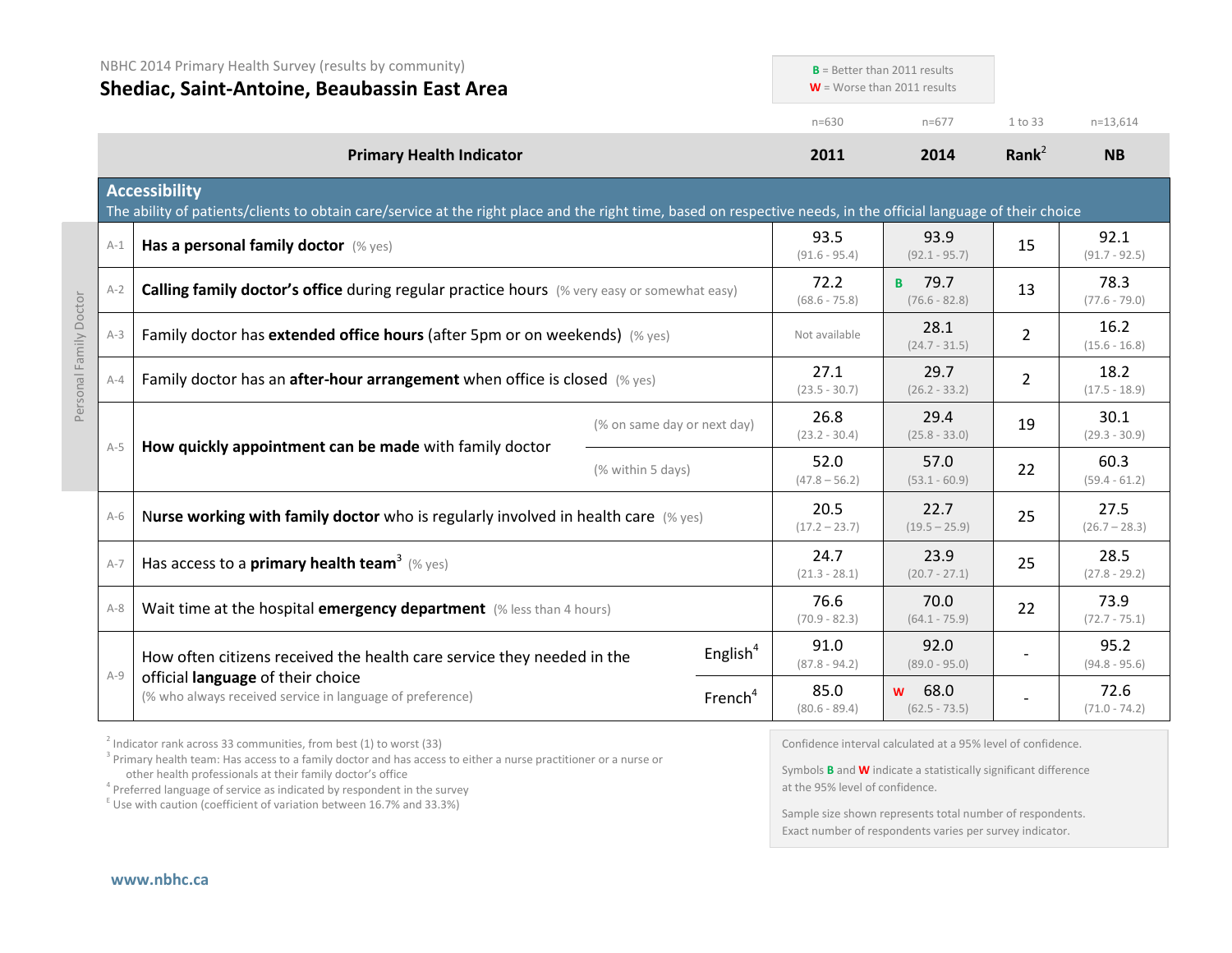|                        | NBHC 2014 Primary Health Survey (results by community)<br>Shediac, Saint-Antoine, Beaubassin East Area<br><b>Primary Health Indicator</b> |                                                                                                                                                                                           |                             | $B =$ Better than 2011 results<br>$W =$ Worse than 2011 results |                         |                                  |                         |                         |
|------------------------|-------------------------------------------------------------------------------------------------------------------------------------------|-------------------------------------------------------------------------------------------------------------------------------------------------------------------------------------------|-----------------------------|-----------------------------------------------------------------|-------------------------|----------------------------------|-------------------------|-------------------------|
|                        |                                                                                                                                           |                                                                                                                                                                                           |                             | $n = 630$                                                       | $n=677$                 | 1 to 33                          | $n=13,614$              |                         |
|                        |                                                                                                                                           |                                                                                                                                                                                           | 2011                        | 2014                                                            | Rank <sup>2</sup>       | <b>NB</b>                        |                         |                         |
|                        |                                                                                                                                           | <b>Accessibility</b><br>The ability of patients/clients to obtain care/service at the right place and the right time, based on respective needs, in the official language of their choice |                             |                                                                 |                         |                                  |                         |                         |
|                        | $A-1$                                                                                                                                     | Has a personal family doctor (% yes)                                                                                                                                                      |                             |                                                                 | 93.5<br>$(91.6 - 95.4)$ | 93.9<br>$(92.1 - 95.7)$          | 15                      | 92.1<br>$(91.7 - 92.5)$ |
|                        | $A-2$                                                                                                                                     | <b>Calling family doctor's office during regular practice hours</b> (% very easy or somewhat easy)                                                                                        |                             |                                                                 | 72.2<br>$(68.6 - 75.8)$ | <b>B</b> 79.7<br>$(76.6 - 82.8)$ | 13                      | 78.3<br>$(77.6 - 79.0)$ |
| Personal Family Doctor | Family doctor has extended office hours (after 5pm or on weekends) (% yes)<br>$A-3$                                                       |                                                                                                                                                                                           | Not available               | 28.1<br>$(24.7 - 31.5)$                                         | $\overline{2}$          | 16.2<br>$(15.6 - 16.8)$          |                         |                         |
|                        | $A - 4$                                                                                                                                   | Family doctor has an <b>after-hour arrangement</b> when office is closed $(\%$ yes)                                                                                                       |                             | 27.1<br>$(23.5 - 30.7)$                                         | 29.7<br>$(26.2 - 33.2)$ | $\overline{2}$                   | 18.2<br>$(17.5 - 18.9)$ |                         |
|                        | $A-5$                                                                                                                                     |                                                                                                                                                                                           | (% on same day or next day) |                                                                 | 26.8<br>$(23.2 - 30.4)$ | 29.4<br>$(25.8 - 33.0)$          | 19                      | 30.1<br>$(29.3 - 30.9)$ |
|                        | How quickly appointment can be made with family doctor                                                                                    | (% within 5 days)                                                                                                                                                                         |                             | 52.0<br>$(47.8 - 56.2)$                                         | 57.0<br>$(53.1 - 60.9)$ | 22                               | 60.3<br>$(59.4 - 61.2)$ |                         |
|                        | $A-6$                                                                                                                                     | Nurse working with family doctor who is regularly involved in health care $(\%$ yes)                                                                                                      |                             |                                                                 | 20.5<br>$(17.2 - 23.7)$ | 22.7<br>$(19.5 - 25.9)$          | 25                      | 27.5<br>$(26.7 - 28.3)$ |
|                        | $A-7$                                                                                                                                     | Has access to a <b>primary health team</b> <sup>3</sup> (% yes)                                                                                                                           |                             |                                                                 | 24.7<br>$(21.3 - 28.1)$ | 23.9<br>$(20.7 - 27.1)$          | 25                      | 28.5<br>$(27.8 - 29.2)$ |
|                        | $A-8$                                                                                                                                     | Wait time at the hospital emergency department (% less than 4 hours)                                                                                                                      |                             |                                                                 | 76.6<br>$(70.9 - 82.3)$ | 70.0<br>$(64.1 - 75.9)$          | 22                      | 73.9<br>$(72.7 - 75.1)$ |
|                        |                                                                                                                                           | How often citizens received the health care service they needed in the                                                                                                                    |                             | English <sup>4</sup>                                            | 91.0<br>$(87.8 - 94.2)$ | 92.0<br>$(89.0 - 95.0)$          |                         | 95.2<br>$(94.8 - 95.6)$ |
|                        | $A-9$                                                                                                                                     | official language of their choice<br>(% who always received service in language of preference)                                                                                            |                             | French <sup>4</sup>                                             | 85.0<br>$(80.6 - 89.4)$ | 68.0<br>W<br>$(62.5 - 73.5)$     |                         | 72.6<br>$(71.0 - 74.2)$ |

 $2$  Indicator rank across 33 communities, from best (1) to worst (33)

<sup>3</sup> Primary health team: Has access to a family doctor and has access to either a nurse practitioner or a nurse or other health professionals at their family doctor's office

<sup>4</sup> Preferred language of service as indicated by respondent in the survey  $E$ <sup>E</sup> Use with caution (coefficient of variation between 16.7% and 33.3%)

Confidence interval calculated at a 95% level of confidence.

Symbols **B** and **W** indicate a statistically significant difference at the 95% level of confidence.

Sample size shown represents total number of respondents. Exact number of respondents varies per survey indicator.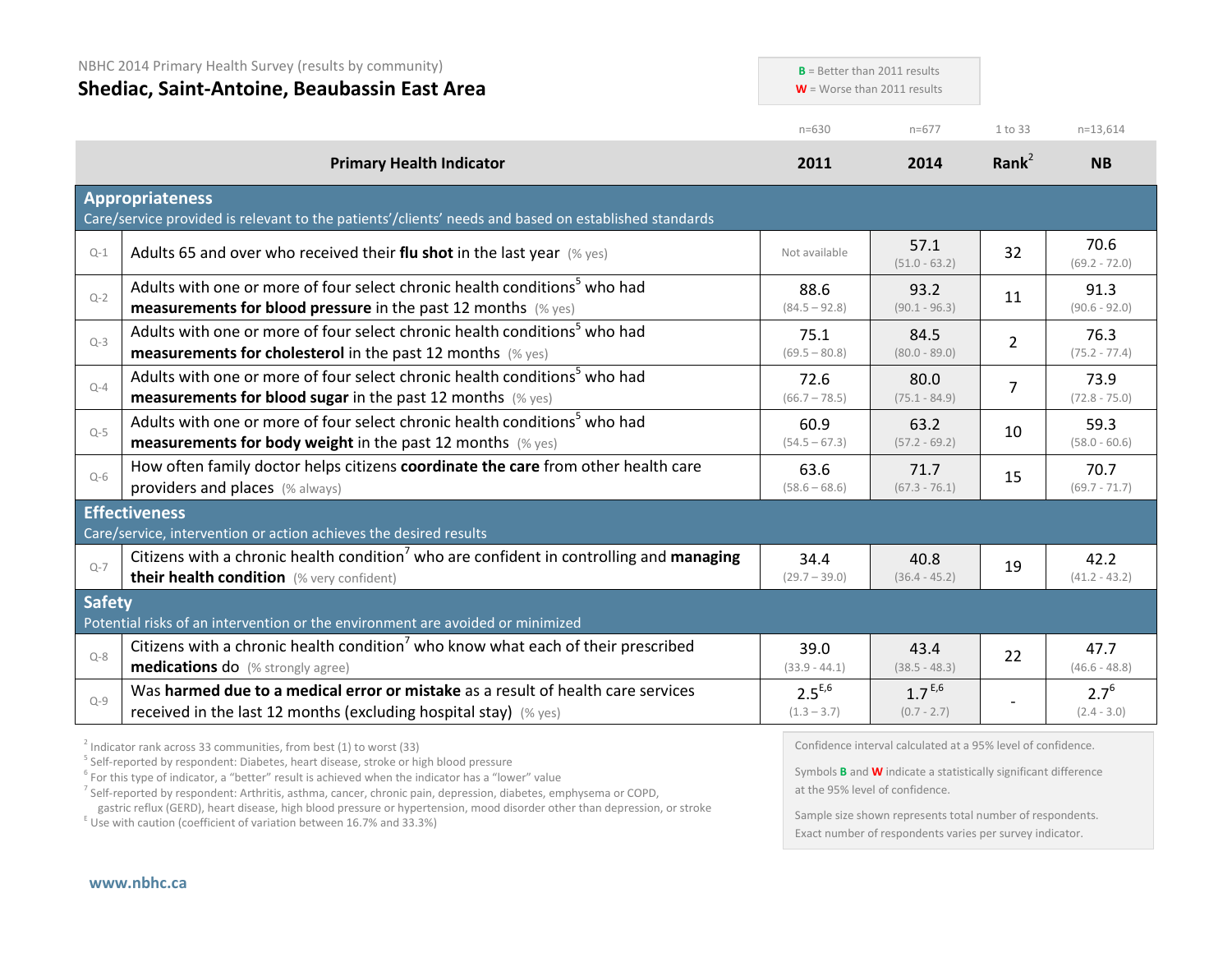| NBHC 2014 Primary Health Survey (results by community)<br>Shediac, Saint-Antoine, Beaubassin East Area |                                                                                                                                                               | $B =$ Better than 2011 results<br>$W =$ Worse than 2011 results |                              |                   |                            |
|--------------------------------------------------------------------------------------------------------|---------------------------------------------------------------------------------------------------------------------------------------------------------------|-----------------------------------------------------------------|------------------------------|-------------------|----------------------------|
|                                                                                                        |                                                                                                                                                               | $n = 630$                                                       | $n=677$                      | 1 to 33           | $n=13,614$                 |
|                                                                                                        | <b>Primary Health Indicator</b>                                                                                                                               | 2011                                                            | 2014                         | Rank <sup>2</sup> | <b>NB</b>                  |
|                                                                                                        | <b>Appropriateness</b><br>Care/service provided is relevant to the patients'/clients' needs and based on established standards                                |                                                                 |                              |                   |                            |
| $Q-1$                                                                                                  | Adults 65 and over who received their flu shot in the last year $(\%$ yes)                                                                                    | Not available                                                   | 57.1<br>$(51.0 - 63.2)$      | 32                | 70.6<br>$(69.2 - 72.0)$    |
| $Q-2$                                                                                                  | Adults with one or more of four select chronic health conditions <sup>5</sup> who had<br><b>measurements for blood pressure</b> in the past 12 months (% yes) | 88.6<br>$(84.5 - 92.8)$                                         | 93.2<br>$(90.1 - 96.3)$      | 11                | 91.3<br>$(90.6 - 92.0)$    |
| $Q-3$                                                                                                  | Adults with one or more of four select chronic health conditions <sup>5</sup> who had<br><b>measurements for cholesterol</b> in the past 12 months (% yes)    | 75.1<br>$(69.5 - 80.8)$                                         | 84.5<br>$(80.0 - 89.0)$      | $\overline{2}$    | 76.3<br>$(75.2 - 77.4)$    |
| $Q-4$                                                                                                  | Adults with one or more of four select chronic health conditions <sup>5</sup> who had<br><b>measurements for blood sugar in the past 12 months (% yes)</b>    | 72.6<br>$(66.7 - 78.5)$                                         | 80.0<br>$(75.1 - 84.9)$      | $\overline{7}$    | 73.9<br>$(72.8 - 75.0)$    |
| $Q-5$                                                                                                  | Adults with one or more of four select chronic health conditions <sup>5</sup> who had<br><b>measurements for body weight</b> in the past 12 months (% yes)    | 60.9<br>$(54.5 - 67.3)$                                         | 63.2<br>$(57.2 - 69.2)$      | 10                | 59.3<br>$(58.0 - 60.6)$    |
| $Q-6$                                                                                                  | How often family doctor helps citizens coordinate the care from other health care<br>providers and places (% always)                                          | 63.6<br>$(58.6 - 68.6)$                                         | 71.7<br>$(67.3 - 76.1)$      | 15                | 70.7<br>$(69.7 - 71.7)$    |
|                                                                                                        | <b>Effectiveness</b><br>Care/service, intervention or action achieves the desired results                                                                     |                                                                 |                              |                   |                            |
| $Q-7$                                                                                                  | Citizens with a chronic health condition <sup>7</sup> who are confident in controlling and managing<br>their health condition (% very confident)              | 34.4<br>$(29.7 - 39.0)$                                         | 40.8<br>$(36.4 - 45.2)$      | 19                | 42.2<br>$(41.2 - 43.2)$    |
| <b>Safety</b>                                                                                          | Potential risks of an intervention or the environment are avoided or minimized                                                                                |                                                                 |                              |                   |                            |
| $Q - 8$                                                                                                | Citizens with a chronic health condition <sup>7</sup> who know what each of their prescribed<br><b>medications do</b> (% strongly agree)                      | 39.0<br>$(33.9 - 44.1)$                                         | 43.4<br>$(38.5 - 48.3)$      | 22                | 47.7<br>$(46.6 - 48.8)$    |
| $Q - 9$                                                                                                | Was harmed due to a medical error or mistake as a result of health care services<br>received in the last 12 months (excluding hospital stay) (% yes)          | $2.5^{E,6}$<br>$(1.3 - 3.7)$                                    | $1.7^{E,6}$<br>$(0.7 - 2.7)$ |                   | $2.7^{6}$<br>$(2.4 - 3.0)$ |

<sup>2</sup> Indicator rank across 33 communities, from best (1) to worst (33)<br><sup>5</sup> Self-reported by respondent: Diabetes, heart disease, stroke or high blood pressure

<sup>6</sup> For this type of indicator, a "better" result is achieved when the indicator has a "lower" value

<sup>7</sup> Self-reported by respondent: Arthritis, asthma, cancer, chronic pain, depression, diabetes, emphysema or COPD, gastric reflux (GERD), heart disease, high blood pressure or hypertension, mood disorder other than depression, or stroke E Use with caution (coefficient of variation between 16.7% and 33.3%)

Confidence interval calculated at a 95% level of confidence.

Symbols **B** and **W** indicate a statistically significant difference at the 95% level of confidence.

Sample size shown represents total number of respondents. Exact number of respondents varies per survey indicator.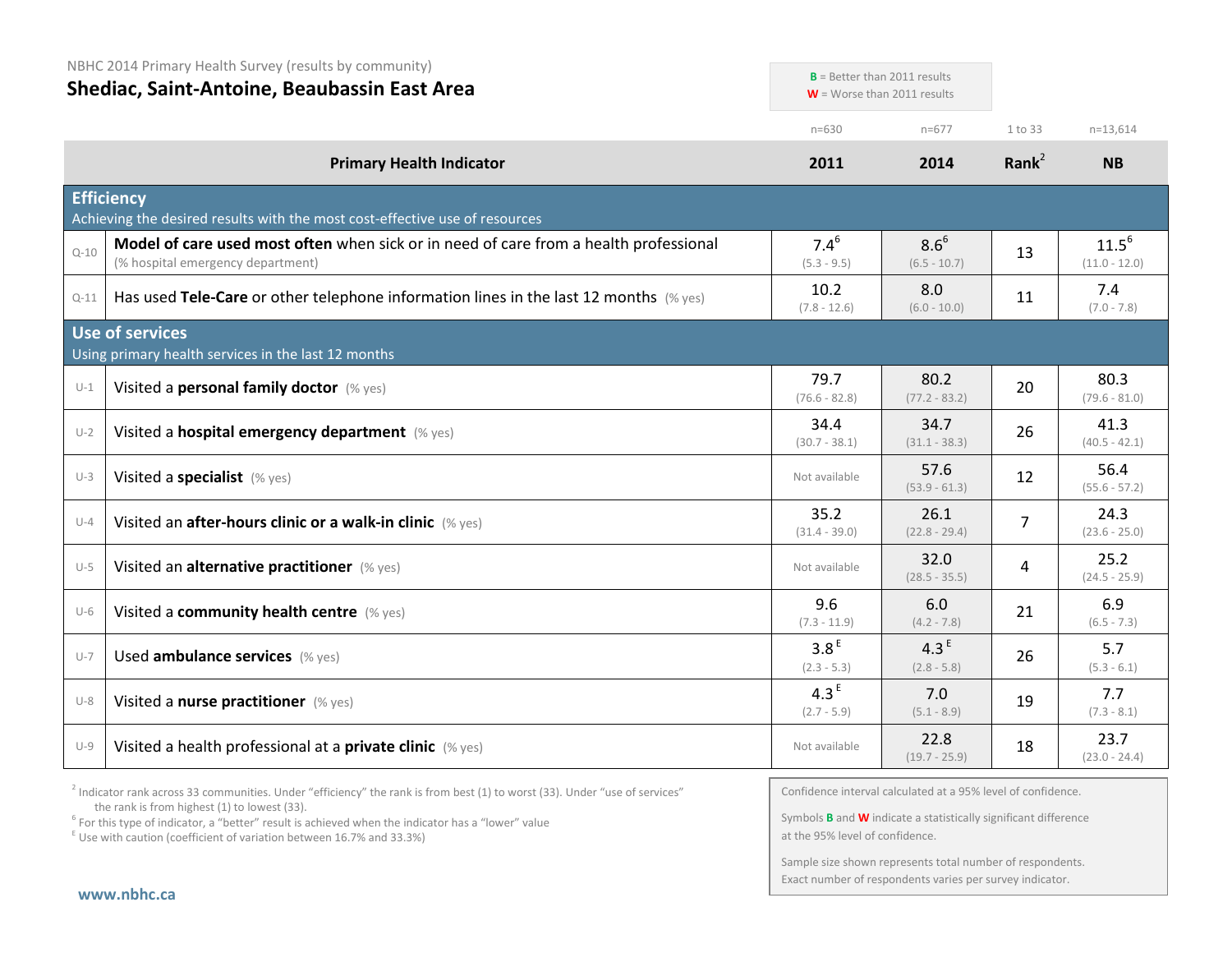NBHC 2014 Primary Health Survey (results by community)

| Shediac, Saint-Antoine, Beaubassin East Area |                                                                                                                            | $W =$ Worse than 2011 results     | $B =$ Better than 2011 results    |                   |                               |
|----------------------------------------------|----------------------------------------------------------------------------------------------------------------------------|-----------------------------------|-----------------------------------|-------------------|-------------------------------|
|                                              |                                                                                                                            | $n = 630$                         | $n=677$                           | 1 to 33           | $n=13,614$                    |
|                                              | <b>Primary Health Indicator</b>                                                                                            | 2011                              | 2014                              | Rank <sup>2</sup> | <b>NB</b>                     |
|                                              | <b>Efficiency</b><br>Achieving the desired results with the most cost-effective use of resources                           |                                   |                                   |                   |                               |
| $Q - 10$                                     | Model of care used most often when sick or in need of care from a health professional<br>(% hospital emergency department) | $7.4^{6}$<br>$(5.3 - 9.5)$        | $8.6^{6}$<br>$(6.5 - 10.7)$       | 13                | $11.5^{6}$<br>$(11.0 - 12.0)$ |
| $Q-11$                                       | Has used Tele-Care or other telephone information lines in the last 12 months $(\%$ yes)                                   | 10.2<br>$(7.8 - 12.6)$            | 8.0<br>$(6.0 - 10.0)$             | 11                | 7.4<br>$(7.0 - 7.8)$          |
|                                              | Use of services<br>Using primary health services in the last 12 months                                                     |                                   |                                   |                   |                               |
| $U-1$                                        | Visited a personal family doctor (% yes)                                                                                   | 79.7<br>$(76.6 - 82.8)$           | 80.2<br>$(77.2 - 83.2)$           | 20                | 80.3<br>$(79.6 - 81.0)$       |
| $U-2$                                        | Visited a hospital emergency department (% yes)                                                                            | 34.4<br>$(30.7 - 38.1)$           | 34.7<br>$(31.1 - 38.3)$           | 26                | 41.3<br>$(40.5 - 42.1)$       |
| $U-3$                                        | Visited a specialist (% yes)                                                                                               | Not available                     | 57.6<br>$(53.9 - 61.3)$           | 12                | 56.4<br>$(55.6 - 57.2)$       |
| $U-4$                                        | Visited an after-hours clinic or a walk-in clinic (% yes)                                                                  | 35.2<br>$(31.4 - 39.0)$           | 26.1<br>$(22.8 - 29.4)$           | $\overline{7}$    | 24.3<br>$(23.6 - 25.0)$       |
| $U-5$                                        | Visited an alternative practitioner (% yes)                                                                                | Not available                     | 32.0<br>$(28.5 - 35.5)$           | 4                 | 25.2<br>$(24.5 - 25.9)$       |
| $U-6$                                        | Visited a community health centre (% yes)                                                                                  | 9.6<br>$(7.3 - 11.9)$             | 6.0<br>$(4.2 - 7.8)$              | 21                | 6.9<br>$(6.5 - 7.3)$          |
| $U-7$                                        | Used ambulance services (% yes)                                                                                            | 3.8 <sup>E</sup><br>$(2.3 - 5.3)$ | 4.3 <sup>E</sup><br>$(2.8 - 5.8)$ | 26                | 5.7<br>$(5.3 - 6.1)$          |
| $U-8$                                        | Visited a nurse practitioner (% yes)                                                                                       | 4.3 $E$<br>$(2.7 - 5.9)$          | 7.0<br>$(5.1 - 8.9)$              | 19                | 7.7<br>$(7.3 - 8.1)$          |
| $U-9$                                        | Visited a health professional at a private clinic (% yes)                                                                  | Not available                     | 22.8<br>$(19.7 - 25.9)$           | 18                | 23.7<br>$(23.0 - 24.4)$       |

 $2$  Indicator rank across 33 communities. Under "efficiency" the rank is from best (1) to worst (33). Under "use of services" the rank is from highest (1) to lowest (33).

<sup>6</sup> For this type of indicator, a "better" result is achieved when the indicator has a "lower" value E Use with caution (coefficient of variation between 16.7% and 33.3%)

Confidence interval calculated at a 95% level of confidence.

**B**  $\mathbf{B}$  = Better than 2011 results that

Symbols **B** and **W** indicate a statistically significant difference at the 95% level of confidence.

Sample size shown represents total number of respondents. Exact number of respondents varies per survey indicator.